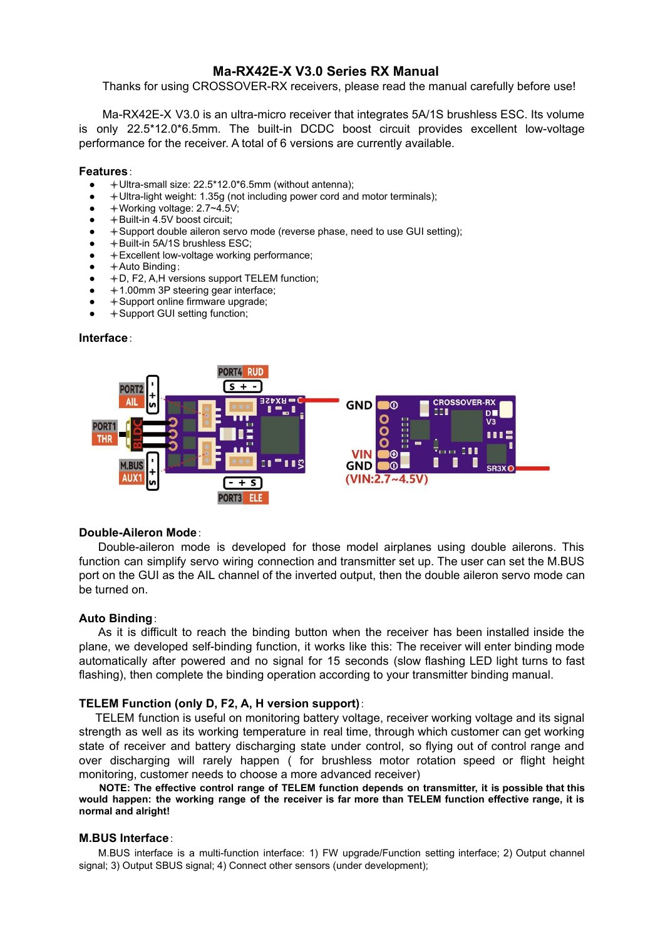# **Ma-RX42E-X V3.0 Series RX Manual**

Thanks for using CROSSOVER-RX receivers, please read the manual carefully before use!

Ma-RX42E-X V3.0 is an ultra-micro receiver that integrates 5A/1S brushless ESC. Its volume is only 22.5\*12.0\*6.5mm. The built-in DCDC boost circuit provides excellent low-voltage performance for the receiver. A total of 6 versions are currently available.

#### **Features**:

- Ultra-small size: 22.5\*12.0\*6.5mm (without antenna);
- Ultra-light weight: 1.35g (not including power cord and motor terminals);
- $\bullet \quad$   $\bullet$  Working voltage: 2.7~4.5V;
- $+$  Built-in 4.5V boost circuit:
- + Support double aileron servo mode (reverse phase, need to use GUI setting);
- $+$  Built-in 5A/1S brushless ESC;
- Excellent low-voltage working performance;
- $+A$ uto Binding:
- $+D$ , F2, A,H versions support TELEM function;
- $+1.00$ mm 3P steering gear interface;
- + Support online firmware upgrade;
- $+$  Support GUI setting function;

### **Interface**:



## **Double-Aileron Mode**:

Double-aileron mode is developed for those model airplanes using double ailerons. This function can simplify servo wiring connection and transmitter set up. The user can set the M.BUS port on the GUI as the AIL channel of the inverted output, then the double aileron servo mode can be turned on.

## **Auto Binding**:

As it is difficult to reach the binding button when the receiver has been installed inside the plane, we developed self-binding function, it works like this: The receiver will enter binding mode automatically after powered and no signal for 15 seconds (slow flashing LED light turns to fast flashing), then complete the binding operation according to your transmitter binding manual.

#### **TELEM Function (only D, F2, A, H version support)**:

TELEM function is useful on monitoring battery voltage, receiver working voltage and its signal strength as well as its working temperature in real time, through which customer can get working state of receiver and battery discharging state under control, so flying out of control range and over discharging will rarely happen ( for brushless motor rotation speed or flight height monitoring, customer needs to choose a more advanced receiver)

**NOTE: The effective control range of TELEM function depends on transmitter, it is possible that this** would happen: the working range of the receiver is far more than TELEM function effective range, it is **normal and alright!**

### **M.BUS Interface**:

M.BUS interface is a multi-function interface: 1) FW upgrade/Function setting interface; 2) Output channel signal; 3) Output SBUS signal; 4) Connect other sensors (under development);